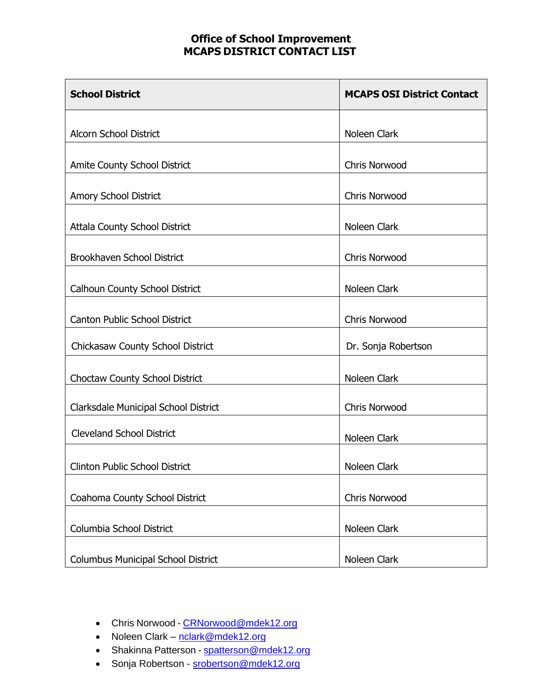| <b>School District</b>                    | <b>MCAPS OSI District Contact</b> |
|-------------------------------------------|-----------------------------------|
| <b>Alcorn School District</b>             | Noleen Clark                      |
|                                           |                                   |
| <b>Amite County School District</b>       | <b>Chris Norwood</b>              |
| Amory School District                     | <b>Chris Norwood</b>              |
| <b>Attala County School District</b>      | Noleen Clark                      |
| Brookhaven School District                | <b>Chris Norwood</b>              |
| <b>Calhoun County School District</b>     | Noleen Clark                      |
|                                           |                                   |
| <b>Canton Public School District</b>      | Chris Norwood                     |
| Chickasaw County School District          | Dr. Sonja Robertson               |
| <b>Choctaw County School District</b>     | Noleen Clark                      |
| Clarksdale Municipal School District      | <b>Chris Norwood</b>              |
| <b>Cleveland School District</b>          | Noleen Clark                      |
| <b>Clinton Public School District</b>     | Noleen Clark                      |
| Coahoma County School District            | Chris Norwood                     |
|                                           |                                   |
| Columbia School District                  | Noleen Clark                      |
| <b>Columbus Municipal School District</b> | Noleen Clark                      |

- Chris Norwood [CRNorwood@mdek12.org](mailto:CRNorwood@mdek12.org)
- Noleen Clark [nclark@mdek12.org](mailto:nclark@mdek12.org)
- Shakinna Patterson [spatterson@mdek12.org](mailto:spatterson@mdek12.org)
- Sonja Robertson [srobertson@mdek12.org](mailto:srobertson@mdek12.org)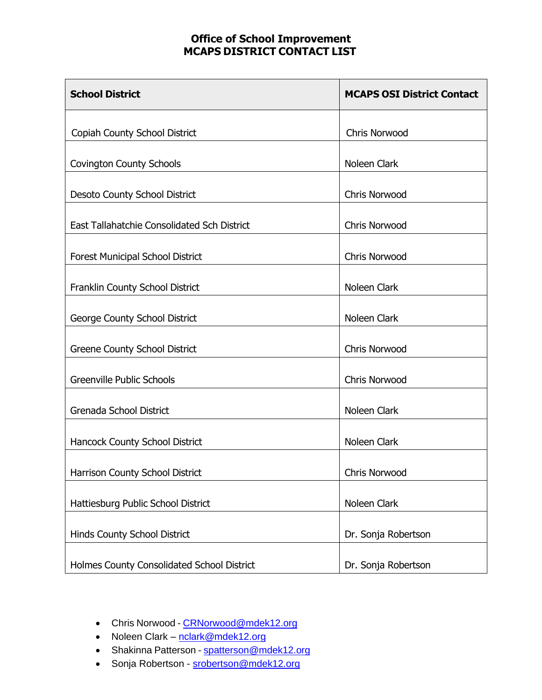| <b>School District</b>                      | <b>MCAPS OSI District Contact</b> |
|---------------------------------------------|-----------------------------------|
| Copiah County School District               | Chris Norwood                     |
| <b>Covington County Schools</b>             | Noleen Clark                      |
| <b>Desoto County School District</b>        | <b>Chris Norwood</b>              |
| East Tallahatchie Consolidated Sch District | <b>Chris Norwood</b>              |
| <b>Forest Municipal School District</b>     | <b>Chris Norwood</b>              |
| Franklin County School District             | Noleen Clark                      |
| George County School District               | Noleen Clark                      |
| <b>Greene County School District</b>        | <b>Chris Norwood</b>              |
| <b>Greenville Public Schools</b>            | <b>Chris Norwood</b>              |
| Grenada School District                     | Noleen Clark                      |
| Hancock County School District              | Noleen Clark                      |
| Harrison County School District             | Chris Norwood                     |
| Hattiesburg Public School District          | Noleen Clark                      |
| <b>Hinds County School District</b>         | Dr. Sonja Robertson               |
| Holmes County Consolidated School District  | Dr. Sonja Robertson               |

- Chris Norwood [CRNorwood@mdek12.org](mailto:CRNorwood@mdek12.org)
- Noleen Clark [nclark@mdek12.org](mailto:nclark@mdek12.org)
- Shakinna Patterson [spatterson@mdek12.org](mailto:spatterson@mdek12.org)
- Sonja Robertson [srobertson@mdek12.org](mailto:srobertson@mdek12.org)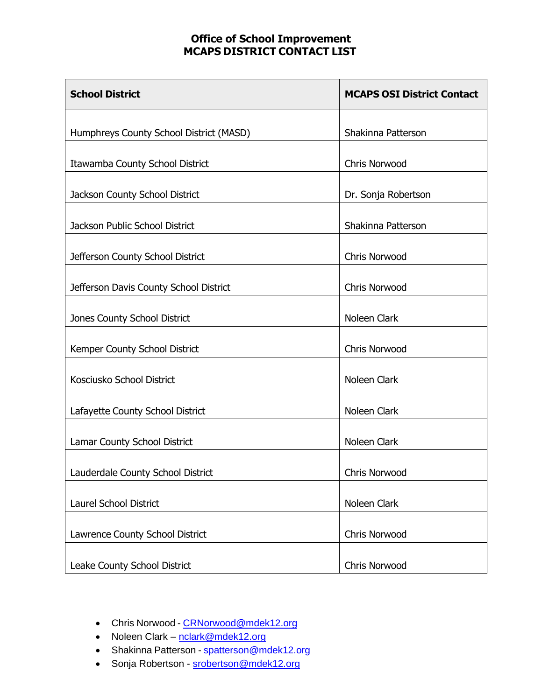| <b>School District</b>                  | <b>MCAPS OSI District Contact</b> |
|-----------------------------------------|-----------------------------------|
| Humphreys County School District (MASD) | Shakinna Patterson                |
| Itawamba County School District         | <b>Chris Norwood</b>              |
| Jackson County School District          | Dr. Sonja Robertson               |
| <b>Jackson Public School District</b>   | Shakinna Patterson                |
| Jefferson County School District        | <b>Chris Norwood</b>              |
| Jefferson Davis County School District  | <b>Chris Norwood</b>              |
| Jones County School District            | Noleen Clark                      |
| Kemper County School District           | Chris Norwood                     |
| Kosciusko School District               | Noleen Clark                      |
| Lafayette County School District        | Noleen Clark                      |
| Lamar County School District            | Noleen Clark                      |
| Lauderdale County School District       | <b>Chris Norwood</b>              |
| <b>Laurel School District</b>           | Noleen Clark                      |
| Lawrence County School District         | Chris Norwood                     |
| Leake County School District            | <b>Chris Norwood</b>              |

- Chris Norwood [CRNorwood@mdek12.org](mailto:CRNorwood@mdek12.org)
- Noleen Clark [nclark@mdek12.org](mailto:nclark@mdek12.org)
- Shakinna Patterson [spatterson@mdek12.org](mailto:spatterson@mdek12.org)
- Sonja Robertson [srobertson@mdek12.org](mailto:srobertson@mdek12.org)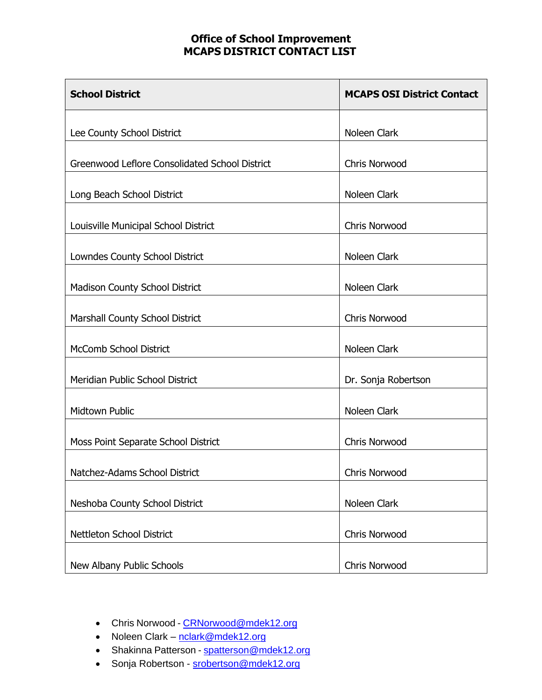| <b>School District</b>                         | <b>MCAPS OSI District Contact</b> |
|------------------------------------------------|-----------------------------------|
| Lee County School District                     | Noleen Clark                      |
| Greenwood Leflore Consolidated School District | <b>Chris Norwood</b>              |
| Long Beach School District                     | Noleen Clark                      |
| Louisville Municipal School District           | <b>Chris Norwood</b>              |
| Lowndes County School District                 | Noleen Clark                      |
| <b>Madison County School District</b>          | Noleen Clark                      |
| Marshall County School District                | <b>Chris Norwood</b>              |
| <b>McComb School District</b>                  | Noleen Clark                      |
| Meridian Public School District                | Dr. Sonja Robertson               |
| <b>Midtown Public</b>                          | Noleen Clark                      |
| Moss Point Separate School District            | Chris Norwood                     |
| Natchez-Adams School District                  | Chris Norwood                     |
| Neshoba County School District                 | Noleen Clark                      |
| Nettleton School District                      | Chris Norwood                     |
| New Albany Public Schools                      | Chris Norwood                     |

- Chris Norwood [CRNorwood@mdek12.org](mailto:CRNorwood@mdek12.org)
- Noleen Clark [nclark@mdek12.org](mailto:nclark@mdek12.org)
- Shakinna Patterson [spatterson@mdek12.org](mailto:spatterson@mdek12.org)
- Sonja Robertson [srobertson@mdek12.org](mailto:srobertson@mdek12.org)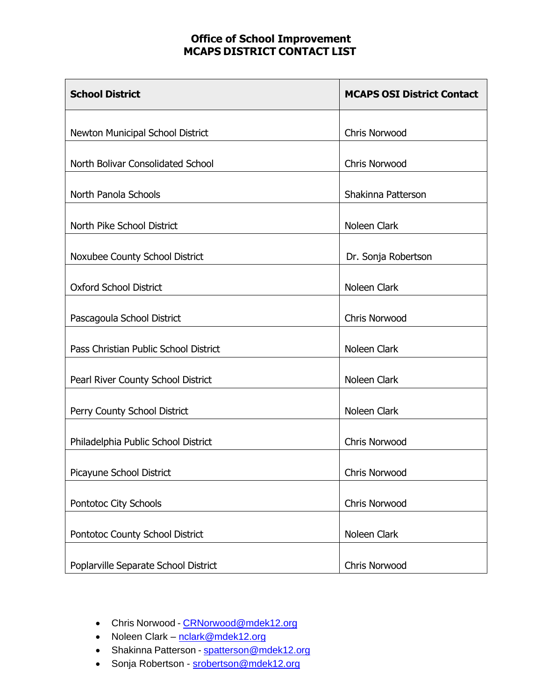| <b>School District</b>                  | <b>MCAPS OSI District Contact</b> |
|-----------------------------------------|-----------------------------------|
| <b>Newton Municipal School District</b> | <b>Chris Norwood</b>              |
| North Bolivar Consolidated School       | <b>Chris Norwood</b>              |
| North Panola Schools                    | Shakinna Patterson                |
| North Pike School District              | Noleen Clark                      |
| Noxubee County School District          | Dr. Sonja Robertson               |
| <b>Oxford School District</b>           | Noleen Clark                      |
| Pascagoula School District              | <b>Chris Norwood</b>              |
| Pass Christian Public School District   | Noleen Clark                      |
| Pearl River County School District      | Noleen Clark                      |
| Perry County School District            | Noleen Clark                      |
| Philadelphia Public School District     | Chris Norwood                     |
| Picayune School District                | Chris Norwood                     |
| Pontotoc City Schools                   | Chris Norwood                     |
| Pontotoc County School District         | Noleen Clark                      |
| Poplarville Separate School District    | Chris Norwood                     |

- Chris Norwood [CRNorwood@mdek12.org](mailto:CRNorwood@mdek12.org)
- Noleen Clark [nclark@mdek12.org](mailto:nclark@mdek12.org)
- Shakinna Patterson [spatterson@mdek12.org](mailto:spatterson@mdek12.org)
- Sonja Robertson [srobertson@mdek12.org](mailto:srobertson@mdek12.org)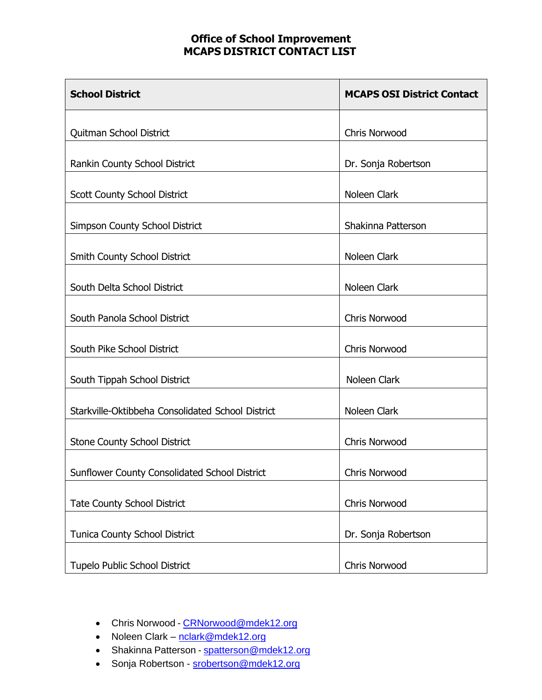| <b>School District</b>                               | <b>MCAPS OSI District Contact</b> |
|------------------------------------------------------|-----------------------------------|
| Quitman School District                              | <b>Chris Norwood</b>              |
| Rankin County School District                        | Dr. Sonja Robertson               |
| <b>Scott County School District</b>                  | Noleen Clark                      |
| <b>Simpson County School District</b>                | Shakinna Patterson                |
| Smith County School District                         | Noleen Clark                      |
| South Delta School District                          | Noleen Clark                      |
| South Panola School District                         | Chris Norwood                     |
| South Pike School District                           | <b>Chris Norwood</b>              |
| South Tippah School District                         | Noleen Clark                      |
| Starkville-Oktibbeha Consolidated School District    | Noleen Clark                      |
| <b>Stone County School District</b>                  | Chris Norwood                     |
| <b>Sunflower County Consolidated School District</b> | Chris Norwood                     |
| <b>Tate County School District</b>                   | Chris Norwood                     |
| Tunica County School District                        | Dr. Sonja Robertson               |
| Tupelo Public School District                        | Chris Norwood                     |

- Chris Norwood [CRNorwood@mdek12.org](mailto:CRNorwood@mdek12.org)
- Noleen Clark [nclark@mdek12.org](mailto:nclark@mdek12.org)
- Shakinna Patterson [spatterson@mdek12.org](mailto:spatterson@mdek12.org)
- Sonja Robertson [srobertson@mdek12.org](mailto:srobertson@mdek12.org)